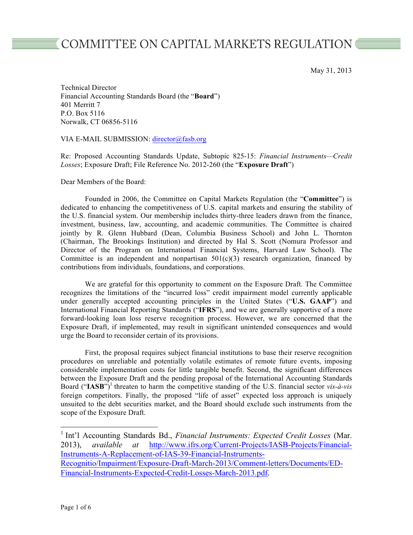# COMMITTEE ON CAPITAL MARKETS REGULATION ■

May 31, 2013

Technical Director Financial Accounting Standards Board (the "**Board**") 401 Merritt 7 P.O. Box 5116 Norwalk, CT 06856-5116

# VIA E-MAIL SUBMISSION: director@fasb.org

Re: Proposed Accounting Standards Update, Subtopic 825-15: *Financial Instruments—Credit Losses*; Exposure Draft; File Reference No. 2012-260 (the "**Exposure Draft**")

Dear Members of the Board:

Founded in 2006, the Committee on Capital Markets Regulation (the "**Committee**") is dedicated to enhancing the competitiveness of U.S. capital markets and ensuring the stability of the U.S. financial system. Our membership includes thirty-three leaders drawn from the finance, investment, business, law, accounting, and academic communities. The Committee is chaired jointly by R. Glenn Hubbard (Dean, Columbia Business School) and John L. Thornton (Chairman, The Brookings Institution) and directed by Hal S. Scott (Nomura Professor and Director of the Program on International Financial Systems, Harvard Law School). The Committee is an independent and nonpartisan  $501(c)(3)$  research organization, financed by contributions from individuals, foundations, and corporations.

We are grateful for this opportunity to comment on the Exposure Draft. The Committee recognizes the limitations of the "incurred loss" credit impairment model currently applicable under generally accepted accounting principles in the United States ("**U.S. GAAP**") and International Financial Reporting Standards ("**IFRS**"), and we are generally supportive of a more forward-looking loan loss reserve recognition process. However, we are concerned that the Exposure Draft, if implemented, may result in significant unintended consequences and would urge the Board to reconsider certain of its provisions.

First, the proposal requires subject financial institutions to base their reserve recognition procedures on unreliable and potentially volatile estimates of remote future events, imposing considerable implementation costs for little tangible benefit. Second, the significant differences between the Exposure Draft and the pending proposal of the International Accounting Standards Board ("**IASB**")<sup>1</sup> threaten to harm the competitive standing of the U.S. financial sector *vis-à-vis* foreign competitors. Finally, the proposed "life of asset" expected loss approach is uniquely unsuited to the debt securities market, and the Board should exclude such instruments from the scope of the Exposure Draft.

<sup>&</sup>lt;sup>1</sup> Int'l Accounting Standards Bd., *Financial Instruments: Expected Credit Losses* (Mar. 2013), *available at* http://www.ifrs.org/Current-Projects/IASB-Projects/Financial-Instruments-A-Replacement-of-IAS-39-Financial-Instruments-Recognitio/Impairment/Exposure-Draft-March-2013/Comment-letters/Documents/ED-Financial-Instruments-Expected-Credit-Losses-March-2013.pdf.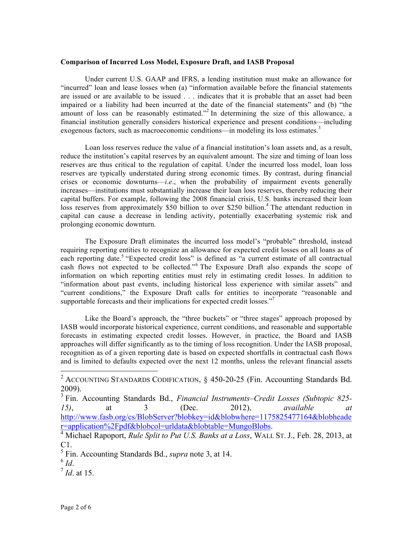#### **Comparison of Incurred Loss Model, Exposure Draft, and IASB Proposal**

Under current U.S. GAAP and IFRS, a lending institution must make an allowance for "incurred" loan and lease losses when (a) "information available before the financial statements are issued or are available to be issued . . . indicates that it is probable that an asset had been impaired or a liability had been incurred at the date of the financial statements" and (b) "the amount of loss can be reasonably estimated."<sup>2</sup> In determining the size of this allowance, a financial institution generally considers historical experience and present conditions—including exogenous factors, such as macroeconomic conditions—in modeling its loss estimates.<sup>3</sup>

Loan loss reserves reduce the value of a financial institution's loan assets and, as a result, reduce the institution's capital reserves by an equivalent amount. The size and timing of loan loss reserves are thus critical to the regulation of capital. Under the incurred loss model, loan loss reserves are typically understated during strong economic times. By contrast, during financial crises or economic downturns—*i*.*e*., when the probability of impairment events generally increases—institutions must substantially increase their loan loss reserves, thereby reducing their capital buffers. For example, following the 2008 financial crisis, U.S. banks increased their loan loss reserves from approximately \$50 billion to over \$250 billion.<sup>4</sup> The attendant reduction in capital can cause a decrease in lending activity, potentially exacerbating systemic risk and prolonging economic downturn.

The Exposure Draft eliminates the incurred loss model's "probable" threshold, instead requiring reporting entities to recognize an allowance for expected credit losses on all loans as of each reporting date.<sup>5</sup> "Expected credit loss" is defined as "a current estimate of all contractual cash flows not expected to be collected."<sup>6</sup> The Exposure Draft also expands the scope of information on which reporting entities must rely in estimating credit losses. In addition to "information about past events, including historical loss experience with similar assets" and "current conditions," the Exposure Draft calls for entities to incorporate "reasonable and supportable forecasts and their implications for expected credit losses."<sup>7</sup>

Like the Board's approach, the "three buckets" or "three stages" approach proposed by IASB would incorporate historical experience, current conditions, and reasonable and supportable forecasts in estimating expected credit losses. However, in practice, the Board and IASB approaches will differ significantly as to the timing of loss recognition. Under the IASB proposal, recognition as of a given reporting date is based on expected shortfalls in contractual cash flows and is limited to defaults expected over the next 12 months, unless the relevant financial assets

<sup>&</sup>lt;sup>2</sup> ACCOUNTING STANDARDS CODIFICATION, § 450-20-25 (Fin. Accounting Standards Bd. 2009).

<sup>3</sup> Fin. Accounting Standards Bd., *Financial Instruments–Credit Losses (Subtopic 825- 15)*, at 3 (Dec. 2012), *available at* http://www.fasb.org/cs/BlobServer?blobkey=id&blobwhere=1175825477164&blobheade<br>r=application%2Fpdf&blobcol=urldata&blobtable=MungoBlobs.

<sup>&</sup>lt;sup>4</sup> Michael Rapoport, *Rule Split to Put U.S. Banks at a Loss*, WALL ST. J., Feb. 28, 2013, at C1.

<sup>5</sup> Fin. Accounting Standards Bd., *supra* note 3, at 14. <sup>6</sup> *Id*. <sup>7</sup> *Id*. at 15.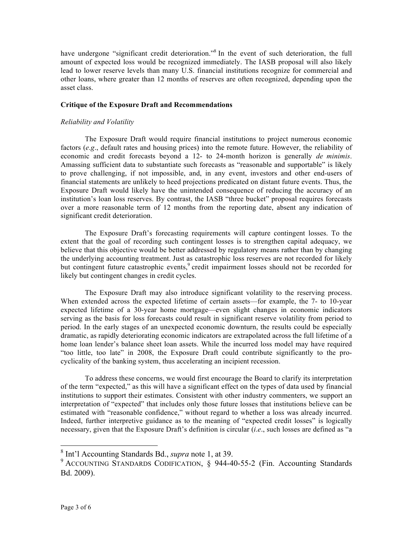have undergone "significant credit deterioration."<sup>8</sup> In the event of such deterioration, the full amount of expected loss would be recognized immediately. The IASB proposal will also likely lead to lower reserve levels than many U.S. financial institutions recognize for commercial and other loans, where greater than 12 months of reserves are often recognized, depending upon the asset class.

# **Critique of the Exposure Draft and Recommendations**

# *Reliability and Volatility*

The Exposure Draft would require financial institutions to project numerous economic factors (*e*.*g*., default rates and housing prices) into the remote future. However, the reliability of economic and credit forecasts beyond a 12- to 24-month horizon is generally *de minimis*. Amassing sufficient data to substantiate such forecasts as "reasonable and supportable" is likely to prove challenging, if not impossible, and, in any event, investors and other end-users of financial statements are unlikely to heed projections predicated on distant future events. Thus, the Exposure Draft would likely have the unintended consequence of reducing the accuracy of an institution's loan loss reserves. By contrast, the IASB "three bucket" proposal requires forecasts over a more reasonable term of 12 months from the reporting date, absent any indication of significant credit deterioration.

The Exposure Draft's forecasting requirements will capture contingent losses. To the extent that the goal of recording such contingent losses is to strengthen capital adequacy, we believe that this objective would be better addressed by regulatory means rather than by changing the underlying accounting treatment. Just as catastrophic loss reserves are not recorded for likely but contingent future catastrophic events,<sup>9</sup> credit impairment losses should not be recorded for likely but contingent changes in credit cycles.

The Exposure Draft may also introduce significant volatility to the reserving process. When extended across the expected lifetime of certain assets—for example, the 7- to 10-year expected lifetime of a 30-year home mortgage—even slight changes in economic indicators serving as the basis for loss forecasts could result in significant reserve volatility from period to period. In the early stages of an unexpected economic downturn, the results could be especially dramatic, as rapidly deteriorating economic indicators are extrapolated across the full lifetime of a home loan lender's balance sheet loan assets. While the incurred loss model may have required "too little, too late" in 2008, the Exposure Draft could contribute significantly to the procyclicality of the banking system, thus accelerating an incipient recession.

To address these concerns, we would first encourage the Board to clarify its interpretation of the term "expected," as this will have a significant effect on the types of data used by financial institutions to support their estimates. Consistent with other industry commenters, we support an interpretation of "expected" that includes only those future losses that institutions believe can be estimated with "reasonable confidence," without regard to whether a loss was already incurred. Indeed, further interpretive guidance as to the meaning of "expected credit losses" is logically necessary, given that the Exposure Draft's definition is circular (*i*.*e*., such losses are defined as "a

<sup>&</sup>lt;sup>8</sup> Int'l Accounting Standards Bd., *supra* note 1, at 39.

<sup>&</sup>lt;sup>9</sup> ACCOUNTING STANDARDS CODIFICATION,  $\frac{\sqrt{5}}{9}$  944-40-55-2 (Fin. Accounting Standards Bd. 2009).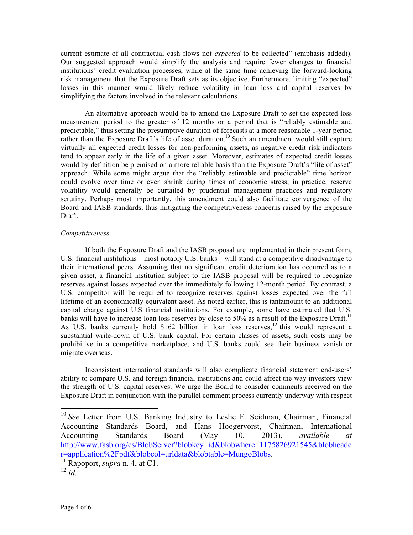current estimate of all contractual cash flows not *expected* to be collected" (emphasis added)). Our suggested approach would simplify the analysis and require fewer changes to financial institutions' credit evaluation processes, while at the same time achieving the forward-looking risk management that the Exposure Draft sets as its objective. Furthermore, limiting "expected" losses in this manner would likely reduce volatility in loan loss and capital reserves by simplifying the factors involved in the relevant calculations.

An alternative approach would be to amend the Exposure Draft to set the expected loss measurement period to the greater of 12 months or a period that is "reliably estimable and predictable," thus setting the presumptive duration of forecasts at a more reasonable 1-year period rather than the Exposure Draft's life of asset duration.<sup>10</sup> Such an amendment would still capture virtually all expected credit losses for non-performing assets, as negative credit risk indicators tend to appear early in the life of a given asset. Moreover, estimates of expected credit losses would by definition be premised on a more reliable basis than the Exposure Draft's "life of asset" approach. While some might argue that the "reliably estimable and predictable" time horizon could evolve over time or even shrink during times of economic stress, in practice, reserve volatility would generally be curtailed by prudential management practices and regulatory scrutiny. Perhaps most importantly, this amendment could also facilitate convergence of the Board and IASB standards, thus mitigating the competitiveness concerns raised by the Exposure Draft.

# *Competitiveness*

If both the Exposure Draft and the IASB proposal are implemented in their present form, U.S. financial institutions—most notably U.S. banks—will stand at a competitive disadvantage to their international peers. Assuming that no significant credit deterioration has occurred as to a given asset, a financial institution subject to the IASB proposal will be required to recognize reserves against losses expected over the immediately following 12-month period. By contrast, a U.S. competitor will be required to recognize reserves against losses expected over the full lifetime of an economically equivalent asset. As noted earlier, this is tantamount to an additional capital charge against U.S financial institutions. For example, some have estimated that U.S. banks will have to increase loan loss reserves by close to 50% as a result of the Exposure Draft.<sup>11</sup> As U.S. banks currently hold \$162 billion in loan loss reserves,<sup>12</sup> this would represent a substantial write-down of U.S. bank capital. For certain classes of assets, such costs may be prohibitive in a competitive marketplace, and U.S. banks could see their business vanish or migrate overseas.

Inconsistent international standards will also complicate financial statement end-users' ability to compare U.S. and foreign financial institutions and could affect the way investors view the strength of U.S. capital reserves. We urge the Board to consider comments received on the Exposure Draft in conjunction with the parallel comment process currently underway with respect

<sup>&</sup>lt;sup>10</sup> See Letter from U.S. Banking Industry to Leslie F. Seidman, Chairman, Financial Accounting Standards Board, and Hans Hoogervorst, Chairman, International Accounting Standards Board (May 10, 2013), *available at* http://www.fasb.org/cs/BlobServer?blobkey=id&blobwhere=1175826921545&blobheade r=application%2Fpdf&blobcol=urldata&blobtable=MungoBlobs. <sup>11</sup> Rapoport, *supra* n. 4, at C1.

 $^{12}$  *Id*.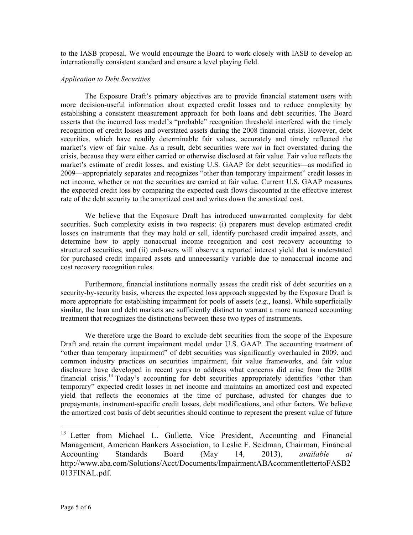to the IASB proposal. We would encourage the Board to work closely with IASB to develop an internationally consistent standard and ensure a level playing field.

#### *Application to Debt Securities*

The Exposure Draft's primary objectives are to provide financial statement users with more decision-useful information about expected credit losses and to reduce complexity by establishing a consistent measurement approach for both loans and debt securities. The Board asserts that the incurred loss model's "probable" recognition threshold interfered with the timely recognition of credit losses and overstated assets during the 2008 financial crisis. However, debt securities, which have readily determinable fair values, accurately and timely reflected the market's view of fair value. As a result, debt securities were *not* in fact overstated during the crisis, because they were either carried or otherwise disclosed at fair value. Fair value reflects the market's estimate of credit losses, and existing U.S. GAAP for debt securities—as modified in 2009—appropriately separates and recognizes "other than temporary impairment" credit losses in net income, whether or not the securities are carried at fair value. Current U.S. GAAP measures the expected credit loss by comparing the expected cash flows discounted at the effective interest rate of the debt security to the amortized cost and writes down the amortized cost.

We believe that the Exposure Draft has introduced unwarranted complexity for debt securities. Such complexity exists in two respects: (i) preparers must develop estimated credit losses on instruments that they may hold or sell, identify purchased credit impaired assets, and determine how to apply nonaccrual income recognition and cost recovery accounting to structured securities, and (ii) end-users will observe a reported interest yield that is understated for purchased credit impaired assets and unnecessarily variable due to nonaccrual income and cost recovery recognition rules.

Furthermore, financial institutions normally assess the credit risk of debt securities on a security-by-security basis, whereas the expected loss approach suggested by the Exposure Draft is more appropriate for establishing impairment for pools of assets (*e*.*g*., loans). While superficially similar, the loan and debt markets are sufficiently distinct to warrant a more nuanced accounting treatment that recognizes the distinctions between these two types of instruments.

We therefore urge the Board to exclude debt securities from the scope of the Exposure Draft and retain the current impairment model under U.S. GAAP. The accounting treatment of "other than temporary impairment" of debt securities was significantly overhauled in 2009, and common industry practices on securities impairment, fair value frameworks, and fair value disclosure have developed in recent years to address what concerns did arise from the 2008 financial crisis.<sup>13</sup> Today's accounting for debt securities appropriately identifies "other than temporary" expected credit losses in net income and maintains an amortized cost and expected yield that reflects the economics at the time of purchase, adjusted for changes due to prepayments, instrument-specific credit losses, debt modifications, and other factors. We believe the amortized cost basis of debt securities should continue to represent the present value of future

<sup>&</sup>lt;sup>13</sup> Letter from Michael L. Gullette, Vice President, Accounting and Financial Management, American Bankers Association, to Leslie F. Seidman, Chairman, Financial Accounting Standards Board (May 14, 2013), *available at*  http://www.aba.com/Solutions/Acct/Documents/ImpairmentABAcommentlettertoFASB2 013FINAL.pdf.